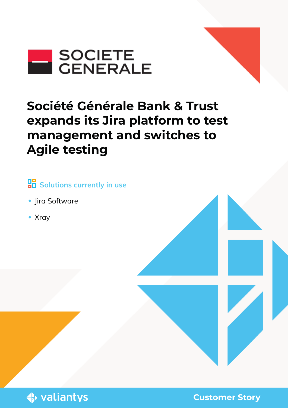

# **Société Générale Bank & Trust expands its Jira platform to test management and switches to Agile testing**

# **BB** Solutions currently in use

- ◆ Jira Software
- Xray



**Customer Story**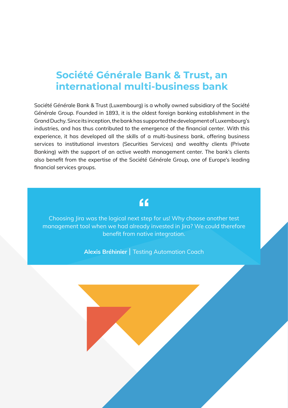### **Société Générale Bank & Trust, an international multi-business bank**

Société Générale Bank & Trust (Luxembourg) is a wholly owned subsidiary of the Société Générale Group. Founded in 1893, it is the oldest foreign banking establishment in the Grand Duchy. Since its inception, the bank has supported the development of Luxembourg's industries, and has thus contributed to the emergence of the financial center. With this experience, it has developed all the skills of a multi-business bank, offering business services to institutional investors (Securities Services) and wealthy clients (Private Banking) with the support of an active wealth management center. The bank's clients also benefit from the expertise of the Société Générale Group, one of Europe's leading financial services groups.

#### $66$

Choosing Jira was the logical next step for us! Why choose another test management tool when we had already invested in Jira? We could therefore benefit from native integration.

**Alexis Bréhinier** | Testing Automation Coach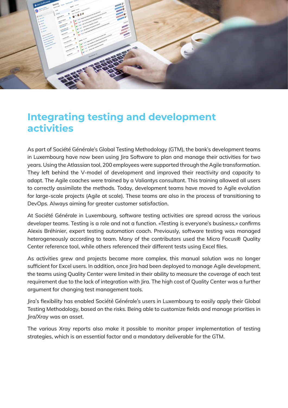

#### **Integrating testing and development activities**

As part of Société Générale's Global Testing Methodology (GTM), the bank's development teams in Luxembourg have now been using lira Software to plan and manage their activities for two years. Using the Atlassian tool, 200 employees were supported through the Agile transformation. They left behind the V-model of development and improved their reactivity and capacity to adapt. The Agile coaches were trained by a Valiantys consultant. This training allowed all users to correctly assimilate the methods. Today, development teams have moved to Agile evolution for large-scale projects (Agile at scale). These teams are also in the process of transitioning to DevOps. Always aiming for greater customer satisfaction.

At Société Générale in Luxembourg, software testing activities are spread across the various developer teams. Testing is a role and not a function. «Testing is everyone's business,» confirms Alexis Bréhinier, expert testing automation coach. Previously, software testing was managed heterogeneously according to team. Many of the contributors used the Micro Focus® Quality Center reference tool, while others referenced their different tests using Excel files.

As activities grew and projects became more complex, this manual solution was no longer sufficient for Excel users. In addition, once Jira had been deployed to manage Agile development, the teams using Quality Center were limited in their ability to measure the coverage of each test requirement due to the lack of integration with Jira. The high cost of Quality Center was a further argument for changing test management tools.

Jira's flexibility has enabled Société Générale's users in Luxembourg to easily apply their Global Testing Methodology, based on the risks. Being able to customize fields and manage priorities in Jira/Xray was an asset.

The various Xray reports also make it possible to monitor proper implementation of testing strategies, which is an essential factor and a mandatory deliverable for the GTM.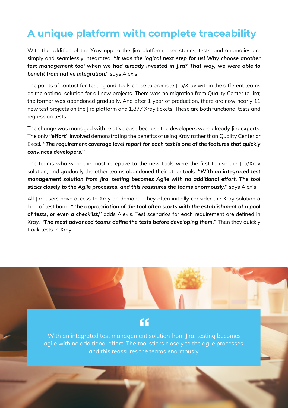## **A unique platform with complete traceability**

With the addition of the Xray app to the Jira platform, user stories, tests, and anomalies are simply and seamlessly integrated. *''It was the logical next step for us! Why choose another test management tool when we had already invested in Jira? That way, we were able to benefit from native integration,'*' says Alexis.

The points of contact for Testing and Tools chose to promote Jira/Xray within the different teams as the optimal solution for all new projects. There was no migration from Quality Center to Jira; the former was abandoned gradually. And after 1 year of production, there are now nearly 11 new test projects on the Jira platform and 1,877 Xray tickets. These are both functional tests and regression tests.

The change was managed with relative ease because the developers were already Jira experts. The only *''effort''* involved demonstrating the benefits of using Xray rather than Quality Center or Excel. *''The requirement coverage level report for each test is one of the features that quickly convinces developers.''*

The teams who were the most receptive to the new tools were the first to use the Jira/Xray solution, and gradually the other teams abandoned their other tools. *''With an integrated test management solution from Jira, testing becomes Agile with no additional effort. The tool sticks closely to the Agile processes, and this reassures the teams enormously,''* says Alexis.

All Jira users have access to Xray on demand. They often initially consider the Xray solution a kind of test bank. *''The appropriation of the tool often starts with the establishment of a pool of tests, or even a checklist,''* adds Alexis. Test scenarios for each requirement are defined in Xray. *''The most advanced teams define the tests before developing them.''* Then they quickly track tests in Xray.



With an integrated test management solution from Jira, testing becomes agile with no additional effort. The tool sticks closely to the agile processes, and this reassures the teams enormously.